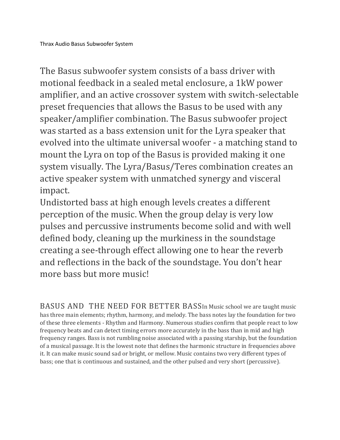The Basus subwoofer system consists of a bass driver with motional feedback in a sealed metal enclosure, a 1kW power amplifier, and an active crossover system with switch-selectable preset frequencies that allows the Basus to be used with any speaker/amplifier combination. The Basus subwoofer project was started as a bass extension unit for the Lyra speaker that evolved into the ultimate universal woofer - a matching stand to mount the Lyra on top of the Basus is provided making it one system visually. The Lyra/Basus/Teres combination creates an active speaker system with unmatched synergy and visceral impact.

Undistorted bass at high enough levels creates a different perception of the music. When the group delay is very low pulses and percussive instruments become solid and with well defined body, cleaning up the murkiness in the soundstage creating a see-through effect allowing one to hear the reverb and reflections in the back of the soundstage. You don't hear more bass but more music!

BASUS AND THE NEED FOR BETTER BASSIn Music school we are taught music has three main elements; rhythm, harmony, and melody. The bass notes lay the foundation for two of these three elements - Rhythm and Harmony. Numerous studies confirm that people react to low frequency beats and can detect timing errors more accurately in the bass than in mid and high frequency ranges. Bass is not rumbling noise associated with a passing starship, but the foundation of a musical passage. It is the lowest note that defines the harmonic structure in frequencies above it. It can make music sound sad or bright, or mellow. Music contains two very different types of bass; one that is continuous and sustained, and the other pulsed and very short (percussive).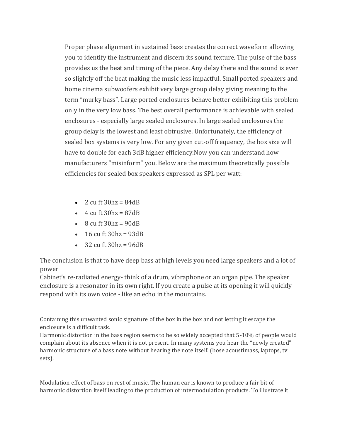Proper phase alignment in sustained bass creates the correct waveform allowing you to identify the instrument and discern its sound texture. The pulse of the bass provides us the beat and timing of the piece. Any delay there and the sound is ever so slightly off the beat making the music less impactful. Small ported speakers and home cinema subwoofers exhibit very large group delay giving meaning to the term "murky bass". Large ported enclosures behave better exhibiting this problem only in the very low bass. The best overall performance is achievable with sealed enclosures - especially large sealed enclosures. In large sealed enclosures the group delay is the lowest and least obtrusive. Unfortunately, the efficiency of sealed box systems is very low. For any given cut-off frequency, the box size will have to double for each 3dB higher efficiency.Now you can understand how manufacturers "misinform" you. Below are the maximum theoretically possible efficiencies for sealed box speakers expressed as SPL per watt:

- 2 cu ft  $30hz = 84dB$
- $\cdot$  4 cu ft 30hz = 87dB
- $\bullet$  8 cu ft 30hz = 90dB
- 16 cu ft  $30hz = 93dB$
- $\cdot$  32 cu ft 30hz = 96dB

The conclusion is that to have deep bass at high levels you need large speakers and a lot of power

Cabinet's re-radiated energy- think of a drum, vibraphone or an organ pipe. The speaker enclosure is a resonator in its own right. If you create a pulse at its opening it will quickly respond with its own voice - like an echo in the mountains.

Containing this unwanted sonic signature of the box in the box and not letting it escape the enclosure is a difficult task.

Harmonic distortion in the bass region seems to be so widely accepted that 5-10% of people would complain about its absence when it is not present. In many systems you hear the "newly created" harmonic structure of a bass note without hearing the note itself. (bose acoustimass, laptops, tv sets).

Modulation effect of bass on rest of music. The human ear is known to produce a fair bit of harmonic distortion itself leading to the production of intermodulation products. To illustrate it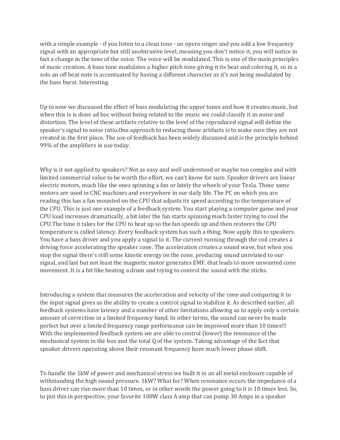with a simple example - if you listen to a clean tone - an opera singer and you add a low frequency signal with an appropriate but still unobtrusive level, meaning you don't notice it, you will notice in fact a change in the tone of the voice. The voice will be modulated. This is one of the main principles of music creation. A bass tone modulates a higher pitch tone giving it its beat and coloring it, so in a solo an off beat note is accentuated by having a different character as it's not being modulated by the bass burst. Interesting.

Up to now we discussed the effect of bass modulating the upper tones and how it creates music, but when this is is done ad hoc without being related to the music we could classify it as noise and distortion. The level of these artifacts relative to the level of the reproduced signal will define the speaker's signal to noise ratio.One approach to reducing those artifacts is to make sure they are not created in the first place. The use of feedback has been widely discussed and is the principle behind 99% of the amplifiers in use today.

Why is it not applied to speakers? Not as easy and well understood or maybe too complex and with limited commercial value to be worth the effort, we can't know for sure. Speaker drivers are linear electric motors, much like the ones spinning a fan or lately the wheels of your Tesla. Those same motors are used in CNC machines and everywhere in our daily life. The PC on which you are reading this has a fan mounted on the CPU that adjusts its speed according to the temperature of the CPU. This is just one example of a feedback system. You start playing a computer game and your CPU load increases dramatically, a bit later the fan starts spinning much faster trying to cool the CPU.The time it takes for the CPU to heat up so the fan speeds up and then restores the CPU temperature is called latency. Every feedback system has such a thing. Now apply this to speakers. You have a bass driver and you apply a signal to it. The current running through the coil creates a driving force accelerating the speaker cone. The acceleration creates a sound wave, but when you stop the signal there's still some kinetic energy on the cone, producing sound unrelated to our signal, and last but not least the magnetic motor generates EMF, that leads to more unwanted cone movement. It is a bit like beating a drum and trying to control the sound with the sticks.

Introducing a system that measures the acceleration and velocity of the cone and comparing it to the input signal gives us the ability to create a control signal to stabilize it. As described earlier, all feedback systems have latency and a number of other limitations allowing us to apply only a certain amount of correction in a limited frequency band. In other terms, the sound can never be made perfect but over a limited frequency range performance can be improved more than 10 times!!! With the implemented feedback system we are able to control (lower) the resonance of the mechanical system in the box and the total Q of the system. Taking advantage of the fact that speaker drivers operating above their resonant frequency have much lower phase shift.

To handle the 1kW of power and mechanical stress we built it in an all metal enclosure capable of withstanding the high sound pressure. 1kW? What for? When resonance occurs the impedance of a bass driver can rise more than 10 times, or in other words the power going to it is 10 times less. So, to put this in perspective, your favorite 100W class A amp that can pump 30 Amps in a speaker